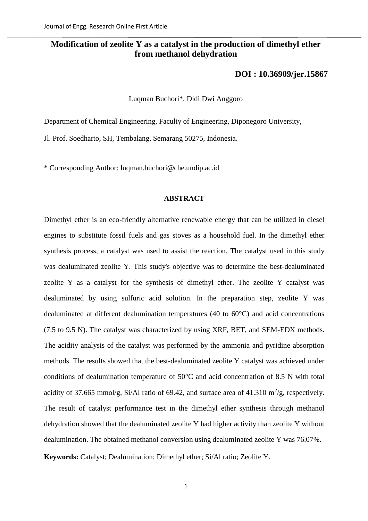# **Modification of zeolite Y as a catalyst in the production of dimethyl ether from methanol dehydration**

# **[DOI : 10.36909/jer.15867](https://doi.org/10.36909/jer.15867)**

Luqman Buchori\*, Didi Dwi Anggoro

Department of Chemical Engineering, Faculty of Engineering, Diponegoro University,

Jl. Prof. Soedharto, SH, Tembalang, Semarang 50275, Indonesia.

\* Corresponding Author: luqman.buchori@che.undip.ac.id

#### **ABSTRACT**

Dimethyl ether is an eco-friendly alternative renewable energy that can be utilized in diesel engines to substitute fossil fuels and gas stoves as a household fuel. In the dimethyl ether synthesis process, a catalyst was used to assist the reaction. The catalyst used in this study was dealuminated zeolite Y. This study's objective was to determine the best-dealuminated zeolite Y as a catalyst for the synthesis of dimethyl ether. The zeolite Y catalyst was dealuminated by using sulfuric acid solution. In the preparation step, zeolite Y was dealuminated at different dealumination temperatures (40 to 60°C) and acid concentrations (7.5 to 9.5 N). The catalyst was characterized by using XRF, BET, and SEM-EDX methods. The acidity analysis of the catalyst was performed by the ammonia and pyridine absorption methods. The results showed that the best-dealuminated zeolite Y catalyst was achieved under conditions of dealumination temperature of 50°C and acid concentration of 8.5 N with total acidity of 37.665 mmol/g, Si/Al ratio of 69.42, and surface area of 41.310  $\mathrm{m}^2/\mathrm{g}$ , respectively. The result of catalyst performance test in the dimethyl ether synthesis through methanol dehydration showed that the dealuminated zeolite Y had higher activity than zeolite Y without dealumination. The obtained methanol conversion using dealuminated zeolite Y was 76.07%. **Keywords:** Catalyst; Dealumination; Dimethyl ether; Si/Al ratio; Zeolite Y.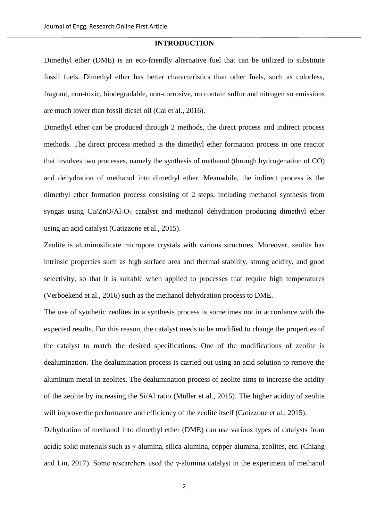### **INTRODUCTION**

Dimethyl ether (DME) is an eco-friendly alternative fuel that can be utilized to substitute fossil fuels. Dimethyl ether has better characteristics than other fuels, such as colorless, fragrant, non-toxic, biodegradable, non-corrosive, no contain sulfur and nitrogen so emissions are much lower than fossil diesel oil (Cai et al., 2016).

Dimethyl ether can be produced through 2 methods, the direct process and indirect process methods. The direct process method is the dimethyl ether formation process in one reactor that involves two processes, namely the synthesis of methanol (through hydrogenation of CO) and dehydration of methanol into dimethyl ether. Meanwhile, the indirect process is the dimethyl ether formation process consisting of 2 steps, including methanol synthesis from syngas using  $Cu/ZnO/Al<sub>2</sub>O<sub>3</sub>$  catalyst and methanol dehydration producing dimethyl ether using an acid catalyst (Catizzone et al., 2015).

Zeolite is aluminosilicate micropore crystals with various structures. Moreover, zeolite has intrinsic properties such as high surface area and thermal stability, strong acidity, and good selectivity, so that it is suitable when applied to processes that require high temperatures (Verboekend et al., 2016) such as the methanol dehydration process to DME.

The use of synthetic zeolites in a synthesis process is sometimes not in accordance with the expected results. For this reason, the catalyst needs to be modified to change the properties of the catalyst to match the desired specifications. One of the modifications of zeolite is dealumination. The dealumination process is carried out using an acid solution to remove the aluminum metal in zeolites. The dealumination process of zeolite aims to increase the acidity of the zeolite by increasing the Si/Al ratio (Müller et al., 2015). The higher acidity of zeolite will improve the performance and efficiency of the zeolite itself (Catizzone et al., 2015).

Dehydration of methanol into dimethyl ether (DME) can use various types of catalysts from acidic solid materials such as γ-alumina, silica-alumina, copper-alumina, zeolites, etc. (Chiang and Lin, 2017). Some researchers used the  $\gamma$ -alumina catalyst in the experiment of methanol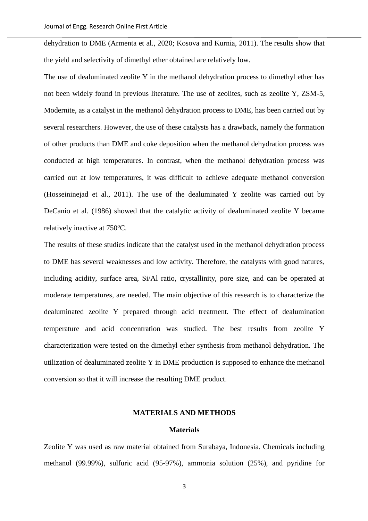dehydration to DME (Armenta et al., 2020; Kosova and Kurnia, 2011). The results show that the yield and selectivity of dimethyl ether obtained are relatively low.

The use of dealuminated zeolite Y in the methanol dehydration process to dimethyl ether has not been widely found in previous literature. The use of zeolites, such as zeolite Y, ZSM-5, Modernite, as a catalyst in the methanol dehydration process to DME, has been carried out by several researchers. However, the use of these catalysts has a drawback, namely the formation of other products than DME and coke deposition when the methanol dehydration process was conducted at high temperatures. In contrast, when the methanol dehydration process was carried out at low temperatures, it was difficult to achieve adequate methanol conversion (Hosseininejad et al., 2011). The use of the dealuminated Y zeolite was carried out by DeCanio et al. (1986) showed that the catalytic activity of dealuminated zeolite Y became relatively inactive at 750 °C.

The results of these studies indicate that the catalyst used in the methanol dehydration process to DME has several weaknesses and low activity. Therefore, the catalysts with good natures, including acidity, surface area, Si/Al ratio, crystallinity, pore size, and can be operated at moderate temperatures, are needed. The main objective of this research is to characterize the dealuminated zeolite Y prepared through acid treatment. The effect of dealumination temperature and acid concentration was studied. The best results from zeolite Y characterization were tested on the dimethyl ether synthesis from methanol dehydration. The utilization of dealuminated zeolite Y in DME production is supposed to enhance the methanol conversion so that it will increase the resulting DME product.

# **MATERIALS AND METHODS**

#### **Materials**

Zeolite Y was used as raw material obtained from Surabaya, Indonesia. Chemicals including methanol (99.99%), sulfuric acid (95-97%), ammonia solution (25%), and pyridine for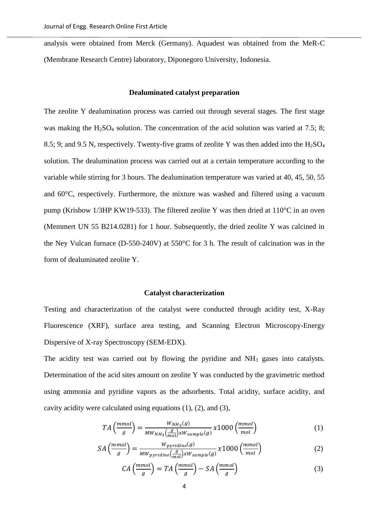analysis were obtained from Merck (Germany). Aquadest was obtained from the MeR-C (Membrane Research Centre) laboratory, Diponegoro University, Indonesia.

## **Dealuminated catalyst preparation**

The zeolite Y dealumination process was carried out through several stages. The first stage was making the  $H<sub>2</sub>SO<sub>4</sub>$  solution. The concentration of the acid solution was varied at 7.5; 8; 8.5; 9; and 9.5 N, respectively. Twenty-five grams of zeolite Y was then added into the  $H_2SO_4$ solution. The dealumination process was carried out at a certain temperature according to the variable while stirring for 3 hours. The dealumination temperature was varied at 40, 45, 50, 55 and 60°C, respectively. Furthermore, the mixture was washed and filtered using a vacuum pump (Krisbow 1/3HP KW19-533). The filtered zeolite Y was then dried at 110°C in an oven (Memmert UN 55 B214.0281) for 1 hour. Subsequently, the dried zeolite Y was calcined in the Ney Vulcan furnace (D-550-240V) at 550°C for 3 h. The result of calcination was in the form of dealuminated zeolite Y.

#### **Catalyst characterization**

Testing and characterization of the catalyst were conducted through acidity test, X-Ray Fluorescence (XRF), surface area testing, and Scanning Electron Microscopy-Energy Dispersive of X-ray Spectroscopy (SEM-EDX).

The acidity test was carried out by flowing the pyridine and NH<sub>3</sub> gases into catalysts. Determination of the acid sites amount on zeolite Y was conducted by the gravimetric method using ammonia and pyridine vapors as the adsorbents. Total acidity, surface acidity, and cavity acidity were calculated using equations (1), (2), and (3),

$$
TA\left(\frac{mmol}{g}\right) = \frac{W_{NH_3}(g)}{MW_{NH_3}\left(\frac{g}{mol}\right) \times W_{sample}(g)} \times 1000\left(\frac{mmol}{mol}\right)
$$
 (1)

$$
SA\left(\frac{mmol}{g}\right) = \frac{W_{pyridine}(g)}{MW_{pyridine}\left(\frac{g}{mol}\right) \times W_{sample}(g)} \times 1000\left(\frac{mmol}{mol}\right)
$$
 (2)

$$
CA\left(\frac{mmol}{g}\right) = TA\left(\frac{mmol}{g}\right) - SA\left(\frac{mmol}{g}\right) \tag{3}
$$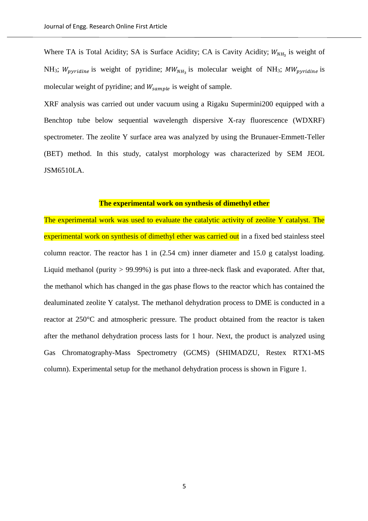Where TA is Total Acidity; SA is Surface Acidity; CA is Cavity Acidity;  $W_{NH_3}$  is weight of NH<sub>3</sub>;  $W_{pyridine}$  is weight of pyridine;  $MW_{NH_3}$  is molecular weight of NH<sub>3</sub>;  $MW_{pyridine}$  is molecular weight of pyridine; and  $W_{sample}$  is weight of sample.

XRF analysis was carried out under vacuum using a Rigaku Supermini200 equipped with a Benchtop tube below sequential wavelength dispersive X-ray fluorescence (WDXRF) spectrometer. The zeolite Y surface area was analyzed by using the Brunauer-Emmett-Teller (BET) method. In this study, catalyst morphology was characterized by SEM JEOL JSM6510LA.

# **The experimental work on synthesis of dimethyl ether**

The experimental work was used to evaluate the catalytic activity of zeolite Y catalyst. The experimental work on synthesis of dimethyl ether was carried out in a fixed bed stainless steel column reactor. The reactor has 1 in (2.54 cm) inner diameter and 15.0 g catalyst loading. Liquid methanol (purity > 99.99%) is put into a three-neck flask and evaporated. After that, the methanol which has changed in the gas phase flows to the reactor which has contained the dealuminated zeolite Y catalyst. The methanol dehydration process to DME is conducted in a reactor at 250°C and atmospheric pressure. The product obtained from the reactor is taken after the methanol dehydration process lasts for 1 hour. Next, the product is analyzed using Gas Chromatography-Mass Spectrometry (GCMS) (SHIMADZU, Restex RTX1-MS column). Experimental setup for the methanol dehydration process is shown in Figure 1.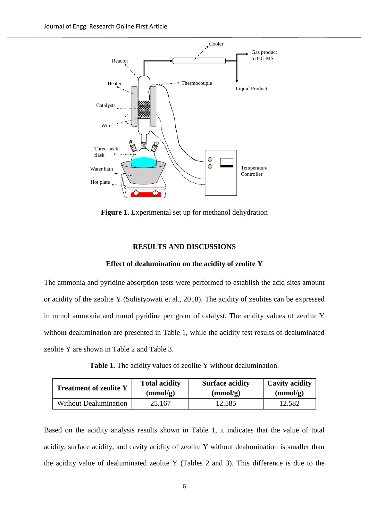

**Figure 1.** Experimental set up for methanol dehydration

#### **RESULTS AND DISCUSSIONS**

#### **Effect of dealumination on the acidity of zeolite Y**

The ammonia and pyridine absorption tests were performed to establish the acid sites amount or acidity of the zeolite Y (Sulistyowati et al., 2018). The acidity of zeolites can be expressed in mmol ammonia and mmol pyridine per gram of catalyst. The acidity values of zeolite Y without dealumination are presented in Table 1, while the acidity test results of dealuminated zeolite Y are shown in Table 2 and Table 3.

**Table 1.** The acidity values of zeolite Y without dealumination.

| <b>Treatment of zeolite Y</b> | <b>Total acidity</b> | <b>Surface acidity</b> | <b>Cavity acidity</b> |
|-------------------------------|----------------------|------------------------|-----------------------|
|                               | (mmol/g)             | (mmol/g)               | (mmol/g)              |
| Without Dealumination         | 25.167               | 12.585                 | 12.582                |

Based on the acidity analysis results shown in Table 1, it indicates that the value of total acidity, surface acidity, and cavity acidity of zeolite Y without dealumination is smaller than the acidity value of dealuminated zeolite Y (Tables 2 and 3). This difference is due to the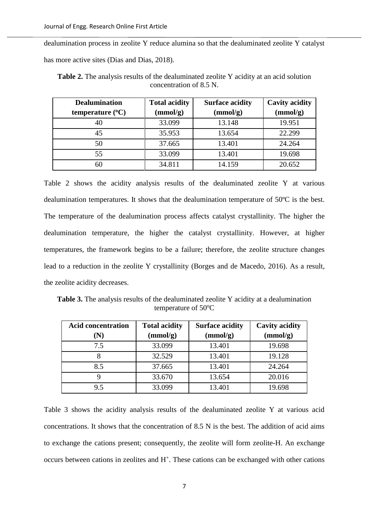dealumination process in zeolite Y reduce alumina so that the dealuminated zeolite Y catalyst has more active sites (Dias and Dias, 2018).

| <b>Dealumination</b>      | <b>Total acidity</b> | <b>Surface acidity</b> | <b>Cavity acidity</b> |
|---------------------------|----------------------|------------------------|-----------------------|
| temperature $(^{\circ}C)$ | (mmol/g)             | (mmol/g)               | (mmol/g)              |
|                           | 33.099               | 13.148                 | 19.951                |
| 45                        | 35.953               | 13.654                 | 22.299                |
| 50                        | 37.665               | 13.401                 | 24.264                |
| 55                        | 33.099               | 13.401                 | 19.698                |
| 60                        | 34.811               | 14.159                 | 20.652                |

Table 2. The analysis results of the dealuminated zeolite Y acidity at an acid solution concentration of 8.5 N.

Table 2 shows the acidity analysis results of the dealuminated zeolite Y at various dealumination temperatures. It shows that the dealumination temperature of 50ºC is the best. The temperature of the dealumination process affects catalyst crystallinity. The higher the dealumination temperature, the higher the catalyst crystallinity. However, at higher temperatures, the framework begins to be a failure; therefore, the zeolite structure changes lead to a reduction in the zeolite Y crystallinity (Borges and de Macedo, 2016). As a result, the zeolite acidity decreases.

**Table 3.** The analysis results of the dealuminated zeolite Y acidity at a dealumination temperature of 50°C

| <b>Acid concentration</b> | <b>Total acidity</b> | <b>Surface acidity</b> | <b>Cavity acidity</b> |
|---------------------------|----------------------|------------------------|-----------------------|
|                           | (mmol/g)             | (mmol/g)               | (mmol/g)              |
| 7.5                       | 33.099               | 13.401                 | 19.698                |
|                           | 32.529               | 13.401                 | 19.128                |
| 8.5                       | 37.665               | 13.401                 | 24.264                |
|                           | 33.670               | 13.654                 | 20.016                |
| 9.5                       | 33.099               | 13.401                 | 19.698                |

Table 3 shows the acidity analysis results of the dealuminated zeolite Y at various acid concentrations. It shows that the concentration of 8.5 N is the best. The addition of acid aims to exchange the cations present; consequently, the zeolite will form zeolite-H. An exchange  $occurs$  between cations in zeolites and  $H<sup>+</sup>$ . These cations can be exchanged with other cations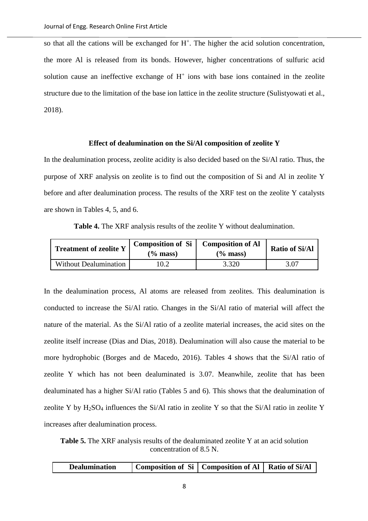so that all the cations will be exchanged for  $H^+$ . The higher the acid solution concentration, the more Al is released from its bonds. However, higher concentrations of sulfuric acid solution cause an ineffective exchange of  $H<sup>+</sup>$  ions with base ions contained in the zeolite structure due to the limitation of the base ion lattice in the zeolite structure (Sulistyowati et al., 2018).

#### **Effect of dealumination on the Si/Al composition of zeolite Y**

In the dealumination process, zeolite acidity is also decided based on the Si/Al ratio. Thus, the purpose of XRF analysis on zeolite is to find out the composition of Si and Al in zeolite Y before and after dealumination process. The results of the XRF test on the zeolite Y catalysts are shown in Tables 4, 5, and 6.

**Table 4.** The XRF analysis results of the zeolite Y without dealumination.

| <b>Treatment of zeolite Y</b> | Composition of Si<br>$\frac{6}{2}$ mass) | <b>Composition of Al</b><br>$(\%$ mass) | <b>Ratio of Si/Al</b> |
|-------------------------------|------------------------------------------|-----------------------------------------|-----------------------|
| <b>Without Dealumination</b>  | 10.2                                     | 3.320                                   | 3.07                  |

In the dealumination process, Al atoms are released from zeolites. This dealumination is conducted to increase the Si/Al ratio. Changes in the Si/Al ratio of material will affect the nature of the material. As the Si/Al ratio of a zeolite material increases, the acid sites on the zeolite itself increase (Dias and Dias, 2018). Dealumination will also cause the material to be more hydrophobic (Borges and de Macedo, 2016). Tables 4 shows that the Si/Al ratio of zeolite Y which has not been dealuminated is 3.07. Meanwhile, zeolite that has been dealuminated has a higher Si/Al ratio (Tables 5 and 6). This shows that the dealumination of zeolite Y by  $H_2SO_4$  influences the Si/Al ratio in zeolite Y so that the Si/Al ratio in zeolite Y increases after dealumination process.

**Table 5.** The XRF analysis results of the dealuminated zeolite Y at an acid solution concentration of 8.5 N.

|  | <b>Dealumination</b> | Composition of Si   Composition of Al   Ratio of Si/Al |  |  |
|--|----------------------|--------------------------------------------------------|--|--|
|--|----------------------|--------------------------------------------------------|--|--|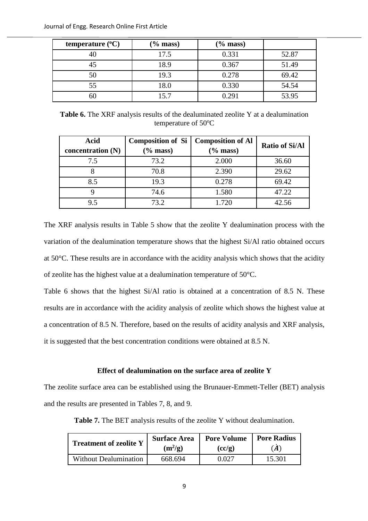| temperature $(^{\circ}C)$ | $(\%$ mass) | $(\%$ mass) |       |
|---------------------------|-------------|-------------|-------|
|                           | 17.5        | 0.331       | 52.87 |
|                           | 18.9        | 0.367       | 51.49 |
| 50                        | 19.3        | 0.278       | 69.42 |
| 55                        | 18.0        | 0.330       | 54.54 |
|                           | 15.7        | 0.291       | 53.95 |

**Table 6.** The XRF analysis results of the dealuminated zeolite Y at a dealumination temperature of  $50^{\circ}$ C

| <b>Acid</b>         | Composition of Si | <b>Composition of Al</b> | <b>Ratio of Si/Al</b> |
|---------------------|-------------------|--------------------------|-----------------------|
| concentration $(N)$ | $(\%$ mass)       | $(\%$ mass)              |                       |
| 7.5                 | 73.2              | 2.000                    | 36.60                 |
|                     | 70.8              | 2.390                    | 29.62                 |
| 8.5                 | 19.3              | 0.278                    | 69.42                 |
|                     | 74.6              | 1.580                    | 47.22                 |
| 9.5                 | 73.2              | 1.720                    | 42.56                 |

The XRF analysis results in Table 5 show that the zeolite Y dealumination process with the variation of the dealumination temperature shows that the highest Si/Al ratio obtained occurs at 50°C. These results are in accordance with the acidity analysis which shows that the acidity of zeolite has the highest value at a dealumination temperature of 50°C.

Table 6 shows that the highest Si/Al ratio is obtained at a concentration of 8.5 N. These results are in accordance with the acidity analysis of zeolite which shows the highest value at a concentration of 8.5 N. Therefore, based on the results of acidity analysis and XRF analysis, it is suggested that the best concentration conditions were obtained at 8.5 N.

# **Effect of dealumination on the surface area of zeolite Y**

The zeolite surface area can be established using the Brunauer-Emmett-Teller (BET) analysis and the results are presented in Tables 7, 8, and 9.

**Table 7.** The BET analysis results of the zeolite Y without dealumination.

| <b>Treatment of zeolite Y</b> | <b>Surface Area</b> | <b>Pore Volume</b> | <b>Pore Radius</b> |
|-------------------------------|---------------------|--------------------|--------------------|
|                               | $(m^2/g)$           | (cc/g)             | (A)                |
| <b>Without Dealumination</b>  | 668.694             | 0 027              | 15.301             |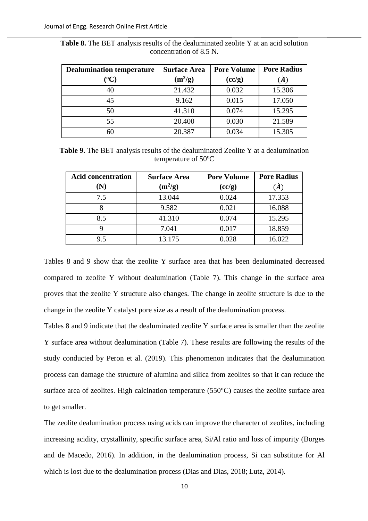| <b>Dealumination temperature</b> | <b>Surface Area</b> | <b>Pore Volume</b> | <b>Pore Radius</b> |
|----------------------------------|---------------------|--------------------|--------------------|
| $({}^o\mathbf{C})$               | $(m^2/g)$           | (cc/g)             | $\dot{A}$          |
| 40                               | 21.432              | 0.032              | 15.306             |
| 45                               | 9.162               | 0.015              | 17.050             |
| 50                               | 41.310              | 0.074              | 15.295             |
| 55                               | 20.400              | 0.030              | 21.589             |
| 60                               | 20.387              | 0.034              | 15.305             |

**Table 8.** The BET analysis results of the dealuminated zeolite Y at an acid solution concentration of 8.5 N.

**Table 9.** The BET analysis results of the dealuminated Zeolite Y at a dealumination temperature of 50°C

| <b>Acid concentration</b> | <b>Surface Area</b> | <b>Pore Volume</b> | <b>Pore Radius</b> |
|---------------------------|---------------------|--------------------|--------------------|
| $(\mathbf{N})$            | $(m^2/g)$           | (cc/g)             | (A)                |
| 7.5                       | 13.044              | 0.024              | 17.353             |
|                           | 9.582               | 0.021              | 16.088             |
| 8.5                       | 41.310              | 0.074              | 15.295             |
|                           | 7.041               | 0.017              | 18.859             |
| 9.5                       | 13.175              | 0.028              | 16.022             |

Tables 8 and 9 show that the zeolite Y surface area that has been dealuminated decreased compared to zeolite Y without dealumination (Table 7). This change in the surface area proves that the zeolite Y structure also changes. The change in zeolite structure is due to the change in the zeolite Y catalyst pore size as a result of the dealumination process.

Tables 8 and 9 indicate that the dealuminated zeolite Y surface area is smaller than the zeolite Y surface area without dealumination (Table 7). These results are following the results of the study conducted by Peron et al. (2019). This phenomenon indicates that the dealumination process can damage the structure of alumina and silica from zeolites so that it can reduce the surface area of zeolites. High calcination temperature (550°C) causes the zeolite surface area to get smaller.

The zeolite dealumination process using acids can improve the character of zeolites, including increasing acidity, crystallinity, specific surface area, Si/Al ratio and loss of impurity (Borges and de Macedo, 2016). In addition, in the dealumination process, Si can substitute for Al which is lost due to the dealumination process (Dias and Dias, 2018; Lutz, 2014).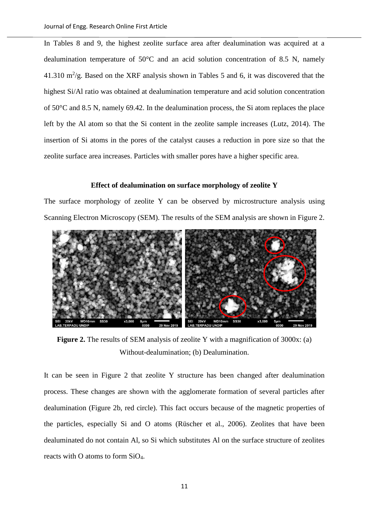In Tables 8 and 9, the highest zeolite surface area after dealumination was acquired at a dealumination temperature of 50°C and an acid solution concentration of 8.5 N, namely 41.310  $\mathrm{m}^2/\mathrm{g}$ . Based on the XRF analysis shown in Tables 5 and 6, it was discovered that the highest Si/Al ratio was obtained at dealumination temperature and acid solution concentration of 50°C and 8.5 N, namely 69.42. In the dealumination process, the Si atom replaces the place left by the Al atom so that the Si content in the zeolite sample increases (Lutz, 2014). The insertion of Si atoms in the pores of the catalyst causes a reduction in pore size so that the zeolite surface area increases. Particles with smaller pores have a higher specific area.

#### **Effect of dealumination on surface morphology of zeolite Y**

The surface morphology of zeolite Y can be observed by microstructure analysis using Scanning Electron Microscopy (SEM). The results of the SEM analysis are shown in Figure 2.



**Figure 2.** The results of SEM analysis of zeolite Y with a magnification of 3000x: (a) Without-dealumination; (b) Dealumination.

It can be seen in Figure 2 that zeolite Y structure has been changed after dealumination process. These changes are shown with the agglomerate formation of several particles after dealumination (Figure 2b, red circle). This fact occurs because of the magnetic properties of the particles, especially Si and O atoms (Rüscher et al., 2006). Zeolites that have been dealuminated do not contain Al, so Si which substitutes Al on the surface structure of zeolites reacts with O atoms to form SiO4.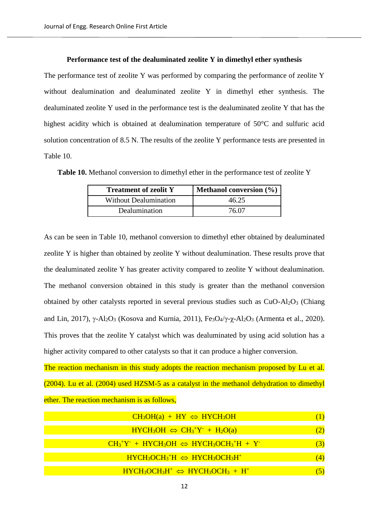#### **Performance test of the dealuminated zeolite Y in dimethyl ether synthesis**

The performance test of zeolite Y was performed by comparing the performance of zeolite Y without dealumination and dealuminated zeolite Y in dimethyl ether synthesis. The dealuminated zeolite Y used in the performance test is the dealuminated zeolite Y that has the highest acidity which is obtained at dealumination temperature of 50°C and sulfuric acid solution concentration of 8.5 N. The results of the zeolite Y performance tests are presented in Table 10.

Table 10. Methanol conversion to dimethyl ether in the performance test of zeolite Y

| <b>Treatment of zeolit Y</b> | <b>Methanol conversion</b> $(\% )$ |
|------------------------------|------------------------------------|
| <b>Without Dealumination</b> | 46.25                              |
| Dealumination                | 76.07                              |

As can be seen in Table 10, methanol conversion to dimethyl ether obtained by dealuminated zeolite Y is higher than obtained by zeolite Y without dealumination. These results prove that the dealuminated zeolite Y has greater activity compared to zeolite Y without dealumination. The methanol conversion obtained in this study is greater than the methanol conversion obtained by other catalysts reported in several previous studies such as CuO-Al2O<sup>3</sup> (Chiang and Lin, 2017),  $\gamma$ -Al<sub>2</sub>O<sub>3</sub> (Kosova and Kurnia, 2011), Fe<sub>3</sub>O<sub>4</sub>/ $\gamma$ - $\chi$ -Al<sub>2</sub>O<sub>3</sub> (Armenta et al., 2020). This proves that the zeolite Y catalyst which was dealuminated by using acid solution has a higher activity compared to other catalysts so that it can produce a higher conversion.

The reaction mechanism in this study adopts the reaction mechanism proposed by Lu et al. (2004). Lu et al. (2004) used HZSM-5 as a catalyst in the methanol dehydration to dimethyl ether. The reaction mechanism is as follows,

| $CH_3OH(a) + HY \Leftrightarrow HYCH_3OH$                                                                               |     |
|-------------------------------------------------------------------------------------------------------------------------|-----|
| $HYCH_3OH \Leftrightarrow CH_3^+Y + H_2O(a)$                                                                            | (2) |
| $CH_3^+Y^-$ + HYCH <sub>3</sub> OH $\Leftrightarrow$ HYCH <sub>3</sub> OCH <sub>3</sub> <sup>+</sup> H + Y <sup>-</sup> | (3) |
| $HYCH_3OCH_3^+H \Leftrightarrow HYCH_3OCH_3H^+$                                                                         | (4) |
| $HYCH_3OCH_3H^+ \Leftrightarrow HYCH_3OCH_3 + H^+$                                                                      |     |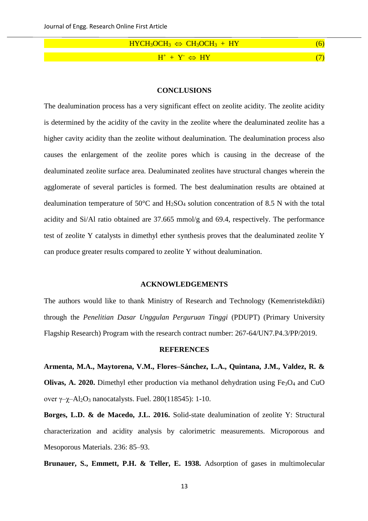| $HYCH_3OCH_3 \Leftrightarrow CH_3OCH_3 + HY$ |  |
|----------------------------------------------|--|
|                                              |  |
| $H^+ + Y^- \Leftrightarrow HY$               |  |

#### **CONCLUSIONS**

The dealumination process has a very significant effect on zeolite acidity. The zeolite acidity is determined by the acidity of the cavity in the zeolite where the dealuminated zeolite has a higher cavity acidity than the zeolite without dealumination. The dealumination process also causes the enlargement of the zeolite pores which is causing in the decrease of the dealuminated zeolite surface area. Dealuminated zeolites have structural changes wherein the agglomerate of several particles is formed. The best dealumination results are obtained at dealumination temperature of  $50^{\circ}$ C and H<sub>2</sub>SO<sub>4</sub> solution concentration of 8.5 N with the total acidity and Si/Al ratio obtained are 37.665 mmol/g and 69.4, respectively. The performance test of zeolite Y catalysts in dimethyl ether synthesis proves that the dealuminated zeolite Y can produce greater results compared to zeolite Y without dealumination.

#### **ACKNOWLEDGEMENTS**

The authors would like to thank Ministry of Research and Technology (Kemenristekdikti) through the *Penelitian Dasar Unggulan Perguruan Tinggi* (PDUPT) (Primary University Flagship Research) Program with the research contract number: 267-64/UN7.P4.3/PP/2019.

### **REFERENCES**

**Armenta, M.A., Maytorena, V.M., Flores–Sánchez, L.A., Quintana, J.M., Valdez, R. & Olivas, A. 2020.** Dimethyl ether production via methanol dehydration using Fe<sub>3</sub>O<sub>4</sub> and CuO over  $\gamma$ - $\chi$ -Al<sub>2</sub>O<sub>3</sub> nanocatalysts. Fuel. 280(118545): 1-10.

**Borges, L.D. & de Macedo, J.L. 2016.** Solid-state dealumination of zeolite Y: Structural characterization and acidity analysis by calorimetric measurements. Microporous and Mesoporous Materials. 236: 85–93.

**Brunauer, S., Emmett, P.H. & Teller, E. 1938.** Adsorption of gases in multimolecular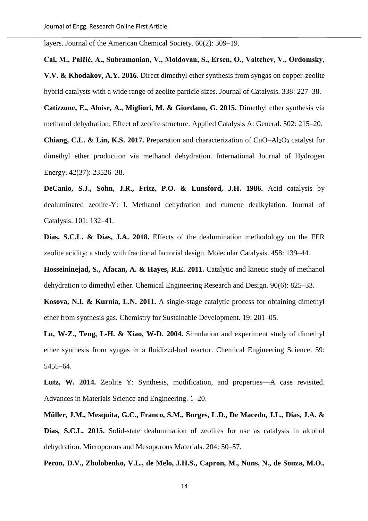layers. Journal of the American Chemical Society. 60(2): 309–19.

**Cai, M., Palčić, A., Subramanian, V., Moldovan, S., Ersen, O., Valtchev, V., Ordomsky, V.V. & Khodakov, A.Y. 2016.** Direct dimethyl ether synthesis from syngas on copper-zeolite hybrid catalysts with a wide range of zeolite particle sizes. Journal of Catalysis. 338: 227–38.

**Catizzone, E., Aloise, A., Migliori, M. & Giordano, G. 2015.** Dimethyl ether synthesis via methanol dehydration: Effect of zeolite structure. Applied Catalysis A: General. 502: 215–20.

**Chiang, C.L. & Lin, K.S. 2017.** Preparation and characterization of CuO–Al<sub>2</sub>O<sub>3</sub> catalyst for dimethyl ether production via methanol dehydration. International Journal of Hydrogen Energy. 42(37): 23526–38.

**DeCanio, S.J., Sohn, J.R., Fritz, P.O. & Lunsford, J.H. 1986.** Acid catalysis by dealuminated zeolite-Y: I. Methanol dehydration and cumene dealkylation. Journal of Catalysis. 101: 132–41.

**Dias, S.C.L. & Dias, J.A. 2018.** Effects of the dealumination methodology on the FER zeolite acidity: a study with fractional factorial design. Molecular Catalysis. 458: 139–44.

**Hosseininejad, S., Afacan, A. & Hayes, R.E. 2011.** Catalytic and kinetic study of methanol dehydration to dimethyl ether. Chemical Engineering Research and Design. 90(6): 825–33.

**Kosova, N.I. & Kurnia, L.N. 2011.** A single-stage catalytic process for obtaining dimethyl ether from synthesis gas. Chemistry for Sustainable Development. 19: 201–05.

**Lu, W-Z., Teng, L-H. & Xiao, W-D. 2004.** Simulation and experiment study of dimethyl ether synthesis from syngas in a fluidized-bed reactor. Chemical Engineering Science. 59: 5455–64.

**Lutz, W. 2014.** Zeolite Y: Synthesis, modification, and properties—A case revisited. Advances in Materials Science and Engineering. 1–20.

**Müller, J.M., Mesquita, G.C., Franco, S.M., Borges, L.D., De Macedo, J.L., Dias, J.A. &**  Dias, S.C.L. 2015. Solid-state dealumination of zeolites for use as catalysts in alcohol dehydration. Microporous and Mesoporous Materials. 204: 50–57.

**Peron, D.V., Zholobenko, V.L., de Melo, J.H.S., Capron, M., Nuns, N., de Souza, M.O.,**